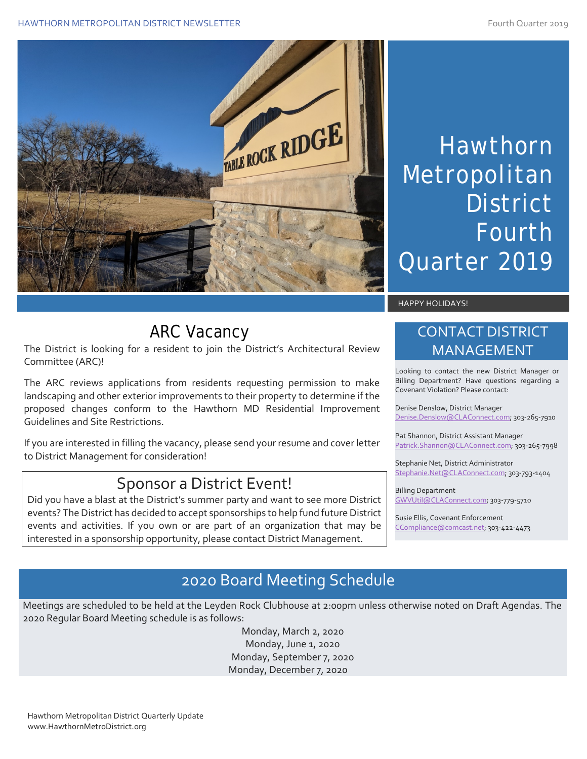#### HAWTHORN METROPOLITAN DISTRICT NEWSLETTER FOURTH AND THE SERIES OF THE STATE STATE STATE AND THE STATE STATE OF THE STATE STATE STATE STATE STATE IS A SERIES OF THE STATE OF THE STATE STATE OF THE STATE STATE STATE STATE S



# Hawthorn Metropolitan **District** Fourth Quarter 2019

#### HAPPY HOLIDAYS!

# ARC Vacancy

The District is looking for a resident to join the District's Architectural Review Committee (ARC)!

The ARC reviews applications from residents requesting permission to make landscaping and other exterior improvements to their property to determine if the proposed changes conform to the Hawthorn MD Residential Improvement Guidelines and Site Restrictions.

If you are interested in filling the vacancy, please send your resume and cover letter to District Management for consideration!

#### Sponsor a District Event!

Did you have a blast at the District's summer party and want to see more District events? The District has decided to accept sponsorships to help fund future District events and activities. If you own or are part of an organization that may be interested in a sponsorship opportunity, please contact District Management.

#### CONTACT DISTRICT MANAGEMENT

Looking to contact the new District Manager or Billing Department? Have questions regarding a Covenant Violation? Please contact:

Denise Denslow, District Manager [Denise.Denslow@CLAConnect.com;](mailto:Denise.Denslow@CLAConnect.com) 303-265-7910

Pat Shannon, District Assistant Manager [Patrick.Shannon@CLAConnect.com;](mailto:Patrick.Shannon@CLAConnect.com) 303-265-7998

Stephanie Net, District Administrator [Stephanie.Net@CLAConnect.com;](mailto:Stephanie.Net@CLAConnect.com) 303-793-1404

Billing Department [GWVUtil@CLAConnect.com;](mailto:GWVUtil@CLAConnect.com) 303-779-5710

Susie Ellis, Covenant Enforcement [CCompliance@comcast.net;](mailto:CCompliance@comcast.net) 303-422-4473

#### 2020 Board Meeting Schedule

Meetings are scheduled to be held at the Leyden Rock Clubhouse at 2:00pm unless otherwise noted on Draft Agendas. The 2020 Regular Board Meeting schedule is as follows:

> Monday, March 2, 2020 Monday, June 1, 2020 Monday, September 7, 2020 Monday, December 7, 2020